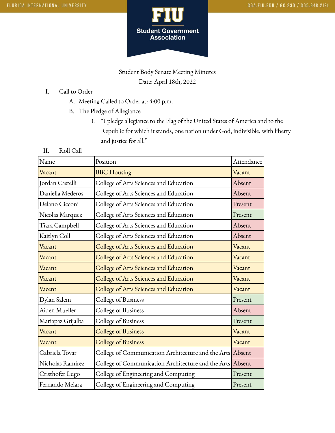

## Student Body Senate Meeting Minutes Date: April 18th, 2022

## I. Call to Order

- A. Meeting Called to Order at: 4:00 p.m.
- B. The Pledge of Allegiance
	- 1. "I pledge allegiance to the Flag of the United States of America and to the Republic for which it stands, one nation under God, indivisible, with liberty and justice for all."

#### II. Roll Call

| Name              | Position                                                  | Attendance |
|-------------------|-----------------------------------------------------------|------------|
| Vacant            | <b>BBC</b> Housing                                        | Vacant     |
| Jordan Castelli   | College of Arts Sciences and Education                    | Absent     |
| Daniella Mederos  | College of Arts Sciences and Education                    | Absent     |
| Delano Cicconi    | College of Arts Sciences and Education                    | Present    |
| Nicolas Marquez   | College of Arts Sciences and Education                    | Present    |
| Tiara Campbell    | College of Arts Sciences and Education                    | Absent     |
| Kaitlyn Coll      | College of Arts Sciences and Education                    | Absent     |
| Vacant            | College of Arts Sciences and Education                    | Vacant     |
| Vacant            | College of Arts Sciences and Education                    | Vacant     |
| Vacant            | College of Arts Sciences and Education                    | Vacant     |
| Vacant            | College of Arts Sciences and Education                    | Vacant     |
| Vacent            | College of Arts Sciences and Education                    | Vacant     |
| Dylan Salem       | College of Business                                       | Present    |
| Aiden Mueller     | College of Business                                       | Absent     |
| Mariapaz Grijalba | College of Business                                       | Present    |
| Vacant            | <b>College of Business</b>                                | Vacant     |
| Vacant            | <b>College of Business</b>                                | Vacant     |
| Gabriela Tovar    | College of Communication Architecture and the Arts Absent |            |
| Nicholas Ramirez  | College of Communication Architecture and the Arts Absent |            |
| Cristhofer Lugo   | College of Engineering and Computing                      | Present    |
| Fernando Melara   | College of Engineering and Computing                      | Present    |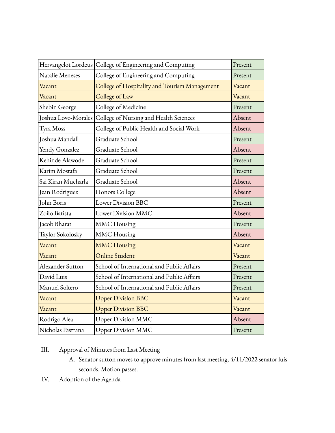|                     | Hervangelot Lordeus College of Engineering and Computing | Present |
|---------------------|----------------------------------------------------------|---------|
| Natalie Meneses     | College of Engineering and Computing                     | Present |
| Vacant              | College of Hospitality and Tourism Management            | Vacant  |
| Vacant              | College of Law                                           | Vacant  |
| Shebin George       | College of Medicine                                      | Present |
| Joshua Lovo-Morales | College of Nursing and Health Sciences                   | Absent  |
| Tyra Moss           | College of Public Health and Social Work                 | Absent  |
| Joshua Mandall      | Graduate School                                          | Present |
| Yendy Gonzalez      | Graduate School                                          | Absent  |
| Kehinde Alawode     | Graduate School                                          | Present |
| Karim Mostafa       | Graduate School                                          | Present |
| Sai Kiran Mucharla  | Graduate School                                          | Absent  |
| Jean Rodriguez      | Honors College                                           | Absent  |
| John Boris          | <b>Lower Division BBC</b>                                | Present |
| Zoilo Batista       | Lower Division MMC                                       | Absent  |
| Jacob Bharat        | <b>MMC</b> Housing                                       | Present |
| Taylor Sokolosky    | <b>MMC</b> Housing                                       | Absent  |
| Vacant              | <b>MMC Housing</b>                                       | Vacant  |
| Vacant              | <b>Online Student</b>                                    | Vacant  |
| Alexander Sutton    | School of International and Public Affairs               | Present |
| David Luis          | School of International and Public Affairs               | Present |
| Manuel Soltero      | School of International and Public Affairs               | Present |
| Vacant              | <b>Upper Division BBC</b>                                | Vacant  |
| Vacant              | <b>Upper Division BBC</b>                                | Vacant  |
| Rodrigo Alea        | <b>Upper Division MMC</b>                                | Absent  |
| Nicholas Pastrana   | <b>Upper Division MMC</b>                                | Present |

# III. Approval of Minutes from Last Meeting

- A. Senator sutton moves to approve minutes from last meeting, 4/11/2022 senator luis seconds. Motion passes.
- IV. Adoption of the Agenda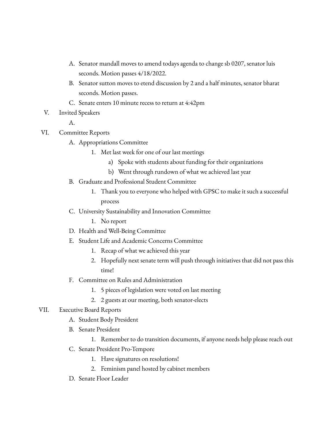- A. Senator mandall moves to amend todays agenda to change sb 0207, senator luis seconds. Motion passes 4/18/2022.
- B. Senator sutton moves to etend discussion by 2 and a half minutes, senator bharat seconds. Motion passes.
- C. Senate enters 10 minute recess to return at 4:42pm
- V. Invited Speakers

A.

- VI. Committee Reports
	- A. Appropriations Committee
		- 1. Met last week for one of our last meetings
			- a) Spoke with students about funding for their organizations
			- b) Went through rundown of what we achieved last year
	- B. Graduate and Professional Student Committee
		- 1. Thank you to everyone who helped with GPSC to make it such a successful process
	- C. University Sustainability and Innovation Committee
		- 1. No report
	- D. Health and Well-Being Committee
	- E. Student Life and Academic Concerns Committee
		- 1. Recap of what we achieved this year
		- 2. Hopefully next senate term will push through initiatives that did not pass this time!
	- F. Committee on Rules and Administration
		- 1. 5 pieces of legislation were voted on last meeting
		- 2. 2 guests at our meeting, both senator-elects

#### VII. Executive Board Reports

- A. Student Body President
- B. Senate President
	- 1. Remember to do transition documents, if anyone needs help please reach out
- C. Senate President Pro-Tempore
	- 1. Have signatures on resolutions!
	- 2. Feminism panel hosted by cabinet members
- D. Senate Floor Leader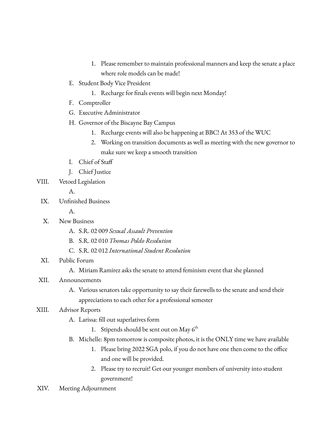- 1. Please remember to maintain professional manners and keep the senate a place where role models can be made!
- E. Student Body Vice President
	- 1. Recharge for finals events will begin next Monday!
- F. Comptroller
- G. Executive Administrator
- H. Governor of the Biscayne Bay Campus
	- 1. Recharge events will also be happening at BBC! At 353 of the WUC
	- 2. Working on transition documents as well as meeting with the new governor to make sure we keep a smooth transition
- I. Chief of Staff
- J. Chief Justice
- VIII. Vetoed Legislation

A.

- IX. Unfinished Business
	- A.
- X. New Business
	- A. S.R. 02 009 *Sexual Assault Prevention*
	- B. S.R. 02 010 *Thomas Poldo Resolution*
	- C. S.R. 02 012 *International Student Resolution*
- XI. Public Forum
	- A. Miriam Ramirez asks the senate to attend feminism event that she planned
- XII. Announcements
	- A. Various senators take opportunity to say their farewells to the senate and send their appreciations to each other for a professional semester

## XIII. Advisor Reports

- A. Larissa: fill out superlatives form
	- 1. Stipends should be sent out on May  $6^{\text{th}}$
- B. Michelle: 8pm tomorrow is composite photos, it is the ONLY time we have available
	- 1. Please bring 2022 SGA polo, if you do not have one then come to the office and one will be provided.
	- 2. Please try to recruit! Get our younger members of university into student government!
- XIV. Meeting Adjournment